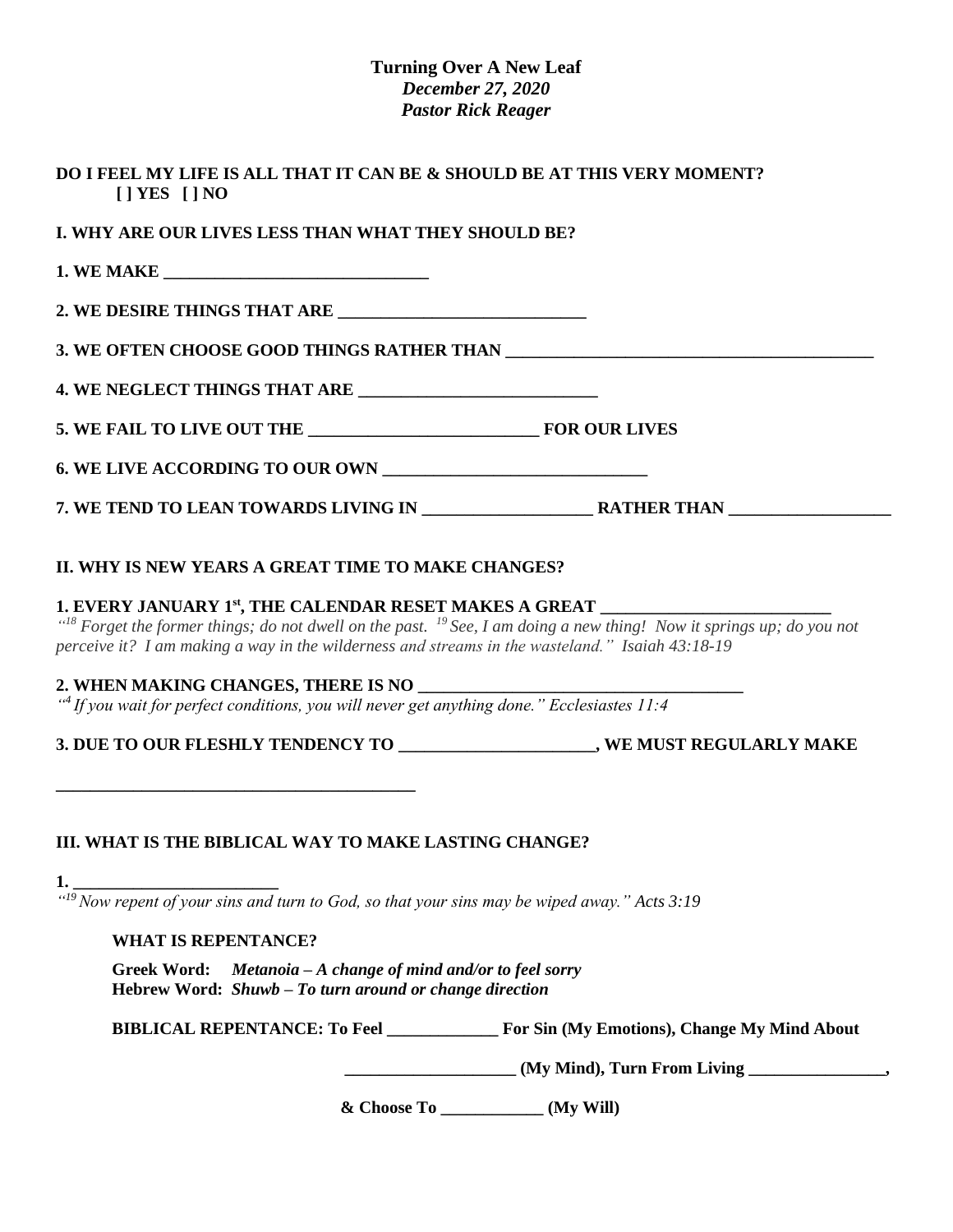#### **Turning Over A New Leaf** *December 27, 2020 Pastor Rick Reager*

| I. WHY ARE OUR LIVES LESS THAN WHAT THEY SHOULD BE?                                                                                                                                                                                                                                                                                                                                                                                                                                                                                                 |  |
|-----------------------------------------------------------------------------------------------------------------------------------------------------------------------------------------------------------------------------------------------------------------------------------------------------------------------------------------------------------------------------------------------------------------------------------------------------------------------------------------------------------------------------------------------------|--|
|                                                                                                                                                                                                                                                                                                                                                                                                                                                                                                                                                     |  |
|                                                                                                                                                                                                                                                                                                                                                                                                                                                                                                                                                     |  |
|                                                                                                                                                                                                                                                                                                                                                                                                                                                                                                                                                     |  |
|                                                                                                                                                                                                                                                                                                                                                                                                                                                                                                                                                     |  |
|                                                                                                                                                                                                                                                                                                                                                                                                                                                                                                                                                     |  |
|                                                                                                                                                                                                                                                                                                                                                                                                                                                                                                                                                     |  |
|                                                                                                                                                                                                                                                                                                                                                                                                                                                                                                                                                     |  |
|                                                                                                                                                                                                                                                                                                                                                                                                                                                                                                                                                     |  |
|                                                                                                                                                                                                                                                                                                                                                                                                                                                                                                                                                     |  |
| 1. EVERY JANUARY 1st, THE CALENDAR RESET MAKES A GREAT ________<br>" <sup>18</sup> Forget the former things; do not dwell on the past. <sup>19</sup> See, I am doing a new thing! Now it springs up; do you not<br>perceive it? I am making a way in the wilderness and streams in the wasteland." Isaiah 43:18-19<br>2. WHEN MAKING CHANGES, THERE IS NO ________<br>"4 If you wait for perfect conditions, you will never get anything done." Ecclesiastes 11:4<br>3. DUE TO OUR FLESHLY TENDENCY TO ____________________, WE MUST REGULARLY MAKE |  |
|                                                                                                                                                                                                                                                                                                                                                                                                                                                                                                                                                     |  |
|                                                                                                                                                                                                                                                                                                                                                                                                                                                                                                                                                     |  |
| <b>WHAT IS REPENTANCE?</b>                                                                                                                                                                                                                                                                                                                                                                                                                                                                                                                          |  |
| Greek Word: Metanoia - A change of mind and/or to feel sorry<br>Hebrew Word: Shuwb - To turn around or change direction                                                                                                                                                                                                                                                                                                                                                                                                                             |  |
| III. WHAT IS THE BIBLICAL WAY TO MAKE LASTING CHANGE?<br><b>1.</b> $\frac{1}{a^{19}}$ Now repent of your sins and turn to God, so that your sins may be wiped away." Acts 3:19<br>BIBLICAL REPENTANCE: To Feel _______________ For Sin (My Emotions), Change My Mind About                                                                                                                                                                                                                                                                          |  |

**& Choose To \_\_\_\_\_\_\_\_\_\_\_\_ (My Will)**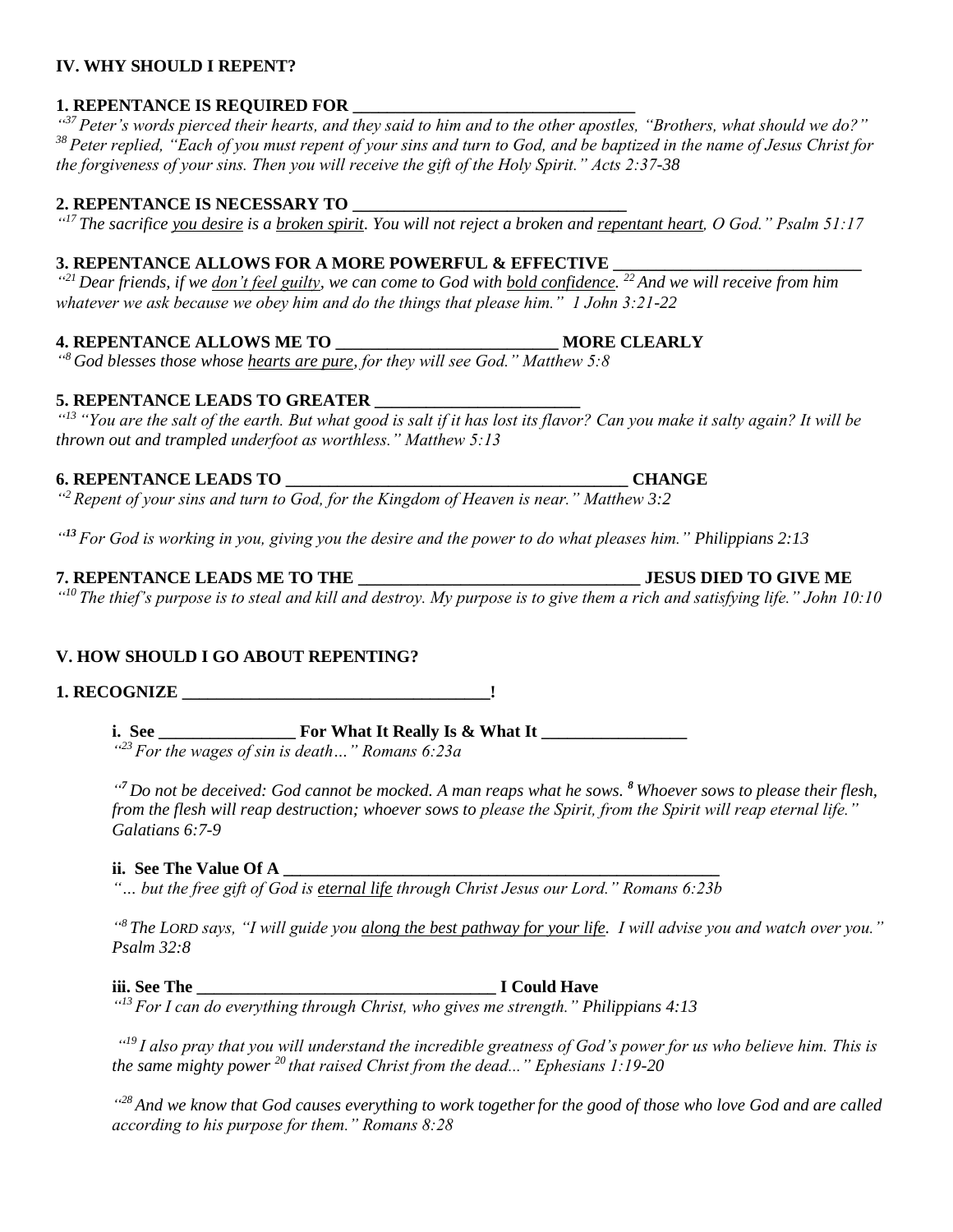#### **IV. WHY SHOULD I REPENT?**

#### **1. REPENTANCE IS REQUIRED FOR**

*" <sup>37</sup> Peter's words pierced their hearts, and they said to him and to the other apostles, "Brothers, what should we do?" <sup>38</sup> Peter replied, "Each of you must repent of your sins and turn to God, and be baptized in the name of Jesus Christ for the forgiveness of your sins. Then you will receive the gift of the Holy Spirit." Acts 2:37-38*

#### **2. REPENTANCE IS NECESSARY TO \_\_\_\_\_\_\_\_\_\_\_\_\_\_\_\_\_\_\_\_\_\_\_\_\_\_\_\_\_\_\_\_**

*" <sup>17</sup> The sacrifice you desire is a broken spirit. You will not reject a broken and repentant heart, O God." Psalm 51:17*

## **3. REPENTANCE ALLOWS FOR A MORE POWERFUL & EFFECTIVE**

*" <sup>21</sup> Dear friends, if we don't feel guilty, we can come to God with bold confidence. <sup>22</sup> And we will receive from him whatever we ask because we obey him and do the things that please him." 1 John 3:21-22*

# **4. REPENTANCE ALLOWS ME TO \_\_\_\_\_\_\_\_\_\_\_\_\_\_\_\_\_\_\_\_\_\_\_\_\_\_ MORE CLEARLY**

*" <sup>8</sup> God blesses those whose hearts are pure, for they will see God." Matthew 5:8*

## **5. REPENTANCE LEADS TO GREATER \_\_\_\_\_\_\_\_\_\_\_\_\_\_\_\_\_\_\_\_\_\_\_\_**

*" <sup>13</sup> "You are the salt of the earth. But what good is salt if it has lost its flavor? Can you make it salty again? It will be thrown out and trampled underfoot as worthless." Matthew 5:13*

## **6. REPENTANCE LEADS TO \_\_\_\_\_\_\_\_\_\_\_\_\_\_\_\_\_\_\_\_\_\_\_\_\_\_\_\_\_\_\_\_\_\_\_\_\_\_\_\_ CHANGE**

*" <sup>2</sup> Repent of your sins and turn to God, for the Kingdom of Heaven is near." Matthew 3:2*

*" <sup>13</sup> For God is working in you, giving you the desire and the power to do what pleases him." Philippians 2:13*

## **7. REPENTANCE LEADS ME TO THE \_\_\_\_\_\_\_\_\_\_\_\_\_\_\_\_\_\_\_\_\_\_\_\_\_\_\_\_\_\_\_\_\_ JESUS DIED TO GIVE ME**

*" <sup>10</sup> The thief's purpose is to steal and kill and destroy. My purpose is to give them a rich and satisfying life." John 10:10*

## **V. HOW SHOULD I GO ABOUT REPENTING?**

**1. RECOGNIZE \_\_\_\_\_\_\_\_\_\_\_\_\_\_\_\_\_\_\_\_\_\_\_\_\_\_\_\_\_\_\_\_\_\_\_\_!**

**i. See \_\_\_\_\_\_\_\_\_\_\_\_\_\_\_\_ For What It Really Is & What It \_\_\_\_\_\_\_\_\_\_\_\_\_\_\_\_\_** *" <sup>23</sup> For the wages of sin is death…" Romans 6:23a*

*" <sup>7</sup> Do not be deceived: God cannot be mocked. A man reaps what he sows. <sup>8</sup> Whoever sows to please their flesh, from the flesh will reap destruction; whoever sows to please the Spirit, from the Spirit will reap eternal life." Galatians 6:7-9*

## **ii. See The Value Of A \_\_\_\_\_\_\_\_\_\_\_\_\_\_\_\_\_\_\_\_\_\_\_\_\_\_\_\_\_\_\_\_\_\_\_\_\_\_\_\_\_\_\_\_\_\_\_\_\_\_\_**

*"… but the free gift of God is eternal life through Christ Jesus our Lord." Romans 6:23b*

*" <sup>8</sup> The LORD says, "I will guide you along the best pathway for your life. I will advise you and watch over you." Psalm 32:8*

#### **iii. See The \_\_\_\_\_\_\_\_\_\_\_\_\_\_\_\_\_\_\_\_\_\_\_\_\_\_\_\_\_\_\_\_\_\_\_ I Could Have**

*" <sup>13</sup> For I can do everything through Christ, who gives me strength." Philippians 4:13*

*" <sup>19</sup> I also pray that you will understand the incredible greatness of God's power for us who believe him. This is the same mighty power <sup>20</sup> that raised Christ from the dead..." Ephesians 1:19-20*

*" <sup>28</sup> And we know that God causes everything to work togetherfor the good of those who love God and are called according to his purpose for them." Romans 8:28*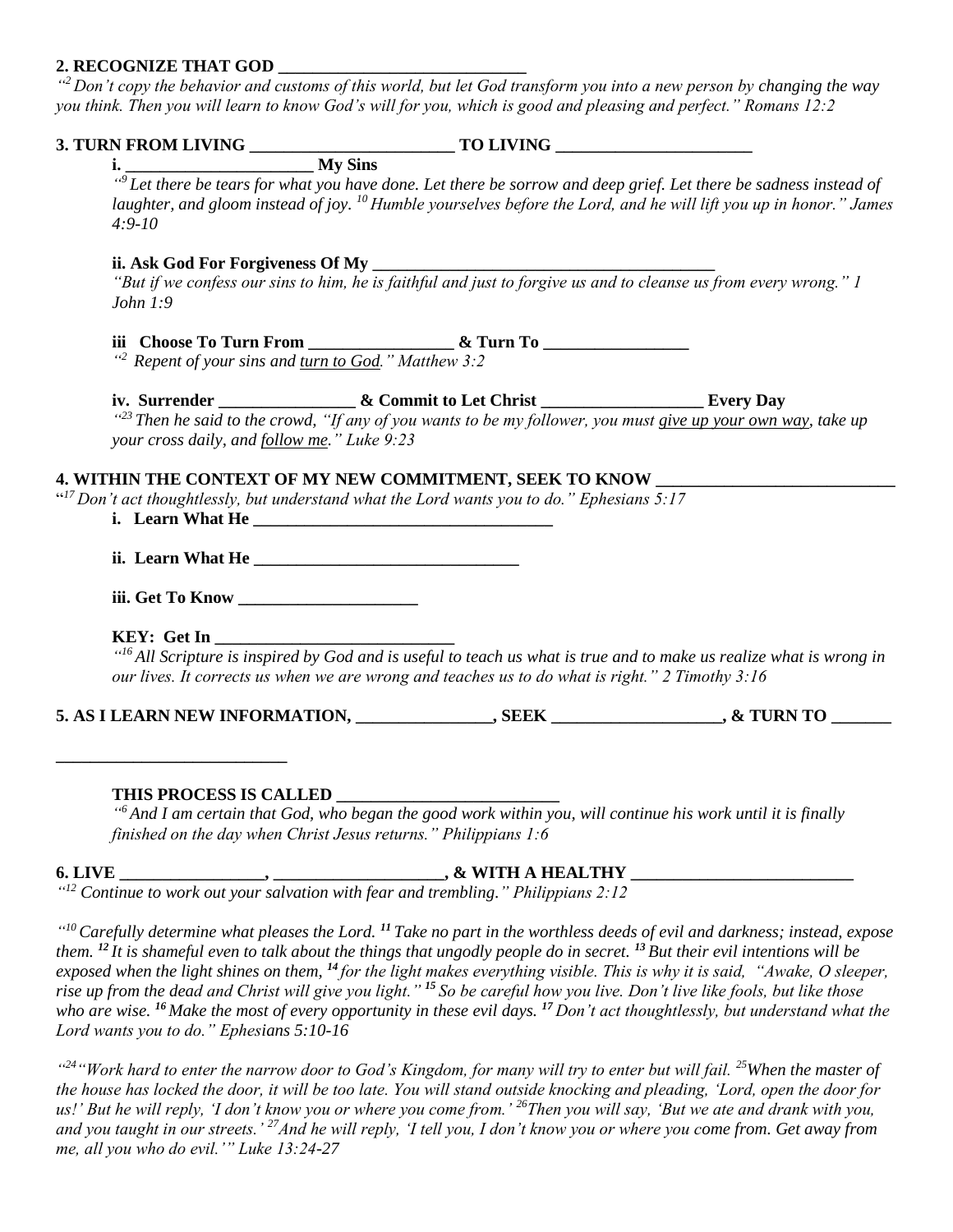#### **2. RECOGNIZE THAT GOD \_\_\_\_\_\_\_\_\_\_\_\_\_\_\_\_\_\_\_\_\_\_\_\_\_\_\_\_\_**

*" <sup>2</sup> Don't copy the behavior and customs of this world, but let God transform you into a new person by changing the way you think. Then you will learn to know God's will for you, which is good and pleasing and perfect." Romans 12:2*

|                                                                  | " <sup>9</sup> Let there be tears for what you have done. Let there be sorrow and deep grief. Let there be sadness instead of |  |
|------------------------------------------------------------------|-------------------------------------------------------------------------------------------------------------------------------|--|
|                                                                  | laughter, and gloom instead of joy. $^{10}$ Humble yourselves before the Lord, and he will lift you up in honor." James       |  |
| $4:9-10$                                                         |                                                                                                                               |  |
|                                                                  |                                                                                                                               |  |
| John $1:9$                                                       |                                                                                                                               |  |
|                                                                  |                                                                                                                               |  |
| " <sup>2</sup> Repent of your sins and turn to God." Matthew 3:2 |                                                                                                                               |  |
|                                                                  | iv. Surrender __________________& Commit to Let Christ _____________________Every Day                                         |  |
| your cross daily, and follow me." Luke 9:23                      | $\frac{1}{2}$ Then he said to the crowd, "If any of you wants to be my follower, you must give up your own way, take up       |  |
|                                                                  | 4. WITHIN THE CONTEXT OF MY NEW COMMITMENT, SEEK TO KNOW                                                                      |  |
|                                                                  | " <sup>17</sup> Don't act thoughtlessly, but understand what the Lord wants you to do." Ephesians 5:17                        |  |
|                                                                  | <b>i.</b> Learn What He                                                                                                       |  |
|                                                                  |                                                                                                                               |  |
|                                                                  |                                                                                                                               |  |
|                                                                  |                                                                                                                               |  |
|                                                                  | our lives. It corrects us when we are wrong and teaches us to do what is right." 2 Timothy 3:16                               |  |
|                                                                  | 5. AS I LEARN NEW INFORMATION, _______________, SEEK ________________, & TURN TO ______                                       |  |
|                                                                  |                                                                                                                               |  |
|                                                                  |                                                                                                                               |  |
| THIS PROCESS IS CALLED                                           |                                                                                                                               |  |

*" <sup>6</sup> And I am certain that God, who began the good work within you, will continue his work until it is finally finished on the day when Christ Jesus returns." Philippians 1:6*

#### **6. LIVE \_\_\_\_\_\_\_\_\_\_\_\_\_\_\_\_\_, \_\_\_\_\_\_\_\_\_\_\_\_\_\_\_\_\_\_\_\_, & WITH A HEALTHY \_\_\_\_\_\_\_\_\_\_\_\_\_\_\_\_\_\_\_\_\_\_\_\_\_\_**

*" <sup>12</sup> Continue to work out your salvation with fear and trembling." Philippians 2:12*

*" <sup>10</sup>Carefully determine what pleases the Lord. <sup>11</sup> Take no part in the worthless deeds of evil and darkness; instead, expose them. <sup>12</sup> It is shameful even to talk about the things that ungodly people do in secret. <sup>13</sup> But their evil intentions will be exposed when the light shines on them, <sup>14</sup> for the light makes everything visible. This is why it is said, "Awake, O sleeper, rise up from the dead and Christ will give you light." <sup>15</sup> So be careful how you live. Don't live like fools, but like those who are wise. <sup>16</sup> Make the most of every opportunity in these evil days. <sup>17</sup> Don't act thoughtlessly, but understand what the Lord wants you to do." Ephesians 5:10-16*

*" [24](http://biblehub.com/luke/13-24.htm)"Work hard to enter the narrow door to God's Kingdom, for many will try to enter but will fail. [25](http://biblehub.com/luke/13-25.htm)When the master of the house has locked the door, it will be too late. You will stand outside knocking and pleading, 'Lord, open the door for us!' But he will reply, 'I don't know you or where you come from.' [26](http://biblehub.com/luke/13-26.htm)Then you will say, 'But we ate and drank with you, and you taught in our streets.' [27](http://biblehub.com/luke/13-27.htm)And he will reply, 'I tell you, I don't know you or where you come from. Get away from me, all you who do evil.'" Luke 13:24-27*